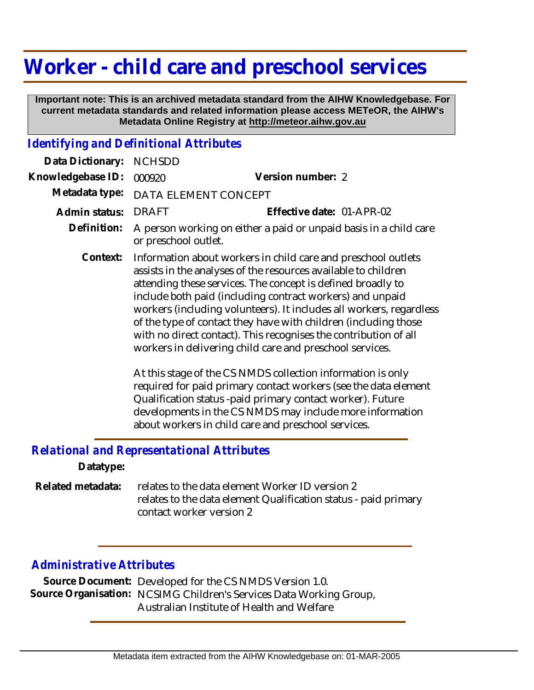## **Worker - child care and preschool services**

 **Important note: This is an archived metadata standard from the AIHW Knowledgebase. For current metadata standards and related information please access METeOR, the AIHW's Metadata Online Registry at http://meteor.aihw.gov.au**

## *Identifying and Definitional Attributes*

| Data Dictionary:  | <b>NCHSDD</b>                                                                                                                                                                                                                                                                                                                                                                                                                                                                                                                         |                                                                                                                                                                                                                                                                                                                 |
|-------------------|---------------------------------------------------------------------------------------------------------------------------------------------------------------------------------------------------------------------------------------------------------------------------------------------------------------------------------------------------------------------------------------------------------------------------------------------------------------------------------------------------------------------------------------|-----------------------------------------------------------------------------------------------------------------------------------------------------------------------------------------------------------------------------------------------------------------------------------------------------------------|
| Knowledgebase ID: | 000920                                                                                                                                                                                                                                                                                                                                                                                                                                                                                                                                | Version number: 2                                                                                                                                                                                                                                                                                               |
| Metadata type:    | DATA ELEMENT CONCEPT                                                                                                                                                                                                                                                                                                                                                                                                                                                                                                                  |                                                                                                                                                                                                                                                                                                                 |
| Admin status:     | <b>DRAFT</b>                                                                                                                                                                                                                                                                                                                                                                                                                                                                                                                          | Effective date: 01-APR-02                                                                                                                                                                                                                                                                                       |
| Definition:       | A person working on either a paid or unpaid basis in a child care<br>or preschool outlet.                                                                                                                                                                                                                                                                                                                                                                                                                                             |                                                                                                                                                                                                                                                                                                                 |
| Context:          | Information about workers in child care and preschool outlets<br>assists in the analyses of the resources available to children<br>attending these services. The concept is defined broadly to<br>include both paid (including contract workers) and unpaid<br>workers (including volunteers). It includes all workers, regardless<br>of the type of contact they have with children (including those<br>with no direct contact). This recognises the contribution of all<br>workers in delivering child care and preschool services. |                                                                                                                                                                                                                                                                                                                 |
|                   |                                                                                                                                                                                                                                                                                                                                                                                                                                                                                                                                       | At this stage of the CS NMDS collection information is only<br>required for paid primary contact workers (see the data element<br>Qualification status -paid primary contact worker). Future<br>developments in the CS NMDS may include more information<br>about workers in child care and preschool services. |

*Relational and Representational Attributes*

**Datatype:**

relates to the data element Worker ID version 2 relates to the data element Qualification status - paid primary contact worker version 2 **Related metadata:**

## *Administrative Attributes*

**Source Document:** Developed for the CS NMDS Version 1.0. Source Organisation: NCSIMG Children's Services Data Working Group, Australian Institute of Health and Welfare